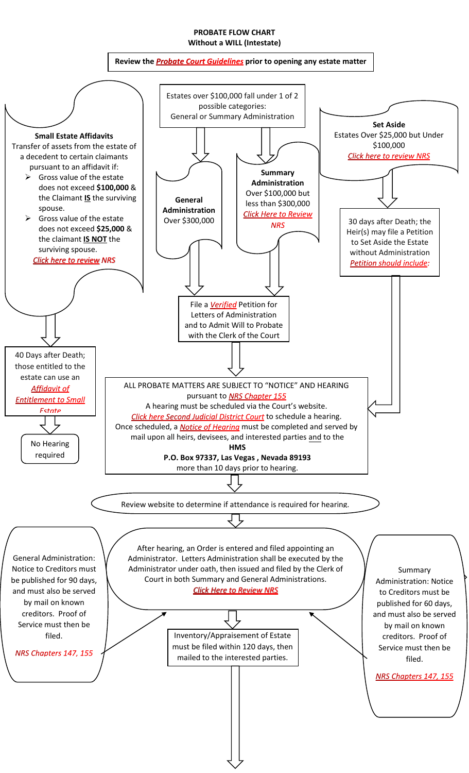## **PROBATE FLOW CHART Without a WILL (Intestate)**

## Reviewthe **Probate Court Guidelines** prior to opening any estate matter